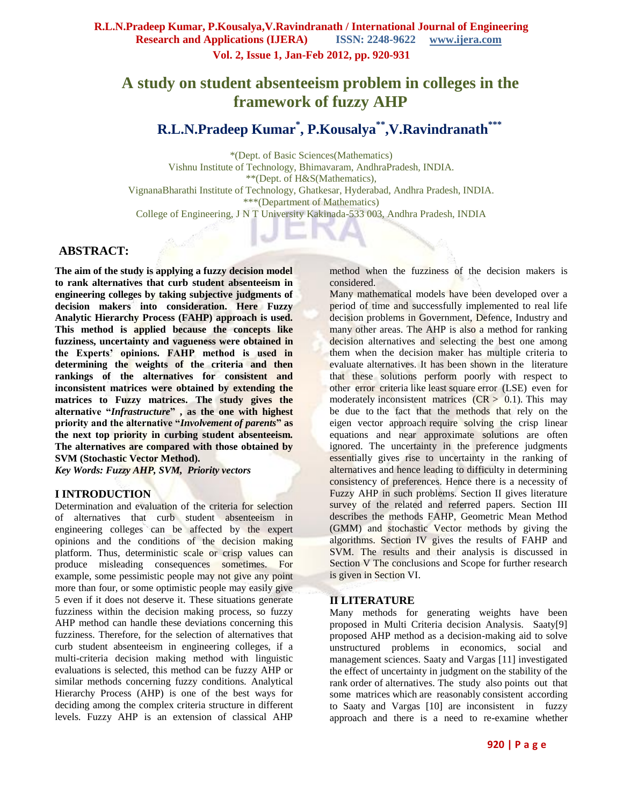# **A study on student absenteeism problem in colleges in the framework of fuzzy AHP**

**R.L.N.Pradeep Kumar\* , P.Kousalya\*\* ,V.Ravindranath\*\*\***

\*(Dept. of Basic Sciences(Mathematics) Vishnu Institute of Technology, Bhimavaram, AndhraPradesh, INDIA. \*\*(Dept. of H&S(Mathematics), VignanaBharathi Institute of Technology, Ghatkesar, Hyderabad, Andhra Pradesh, INDIA. \*\*\*(Department of Mathematics) College of Engineering, J N T University Kakinada-533 003, Andhra Pradesh, INDIA

# **ABSTRACT:**

**The aim of the study is applying a fuzzy decision model to rank alternatives that curb student absenteeism in engineering colleges by taking subjective judgments of decision makers into consideration. Here Fuzzy Analytic Hierarchy Process (FAHP) approach is used. This method is applied because the concepts like fuzziness, uncertainty and vagueness were obtained in the Experts' opinions. FAHP method is used in determining the weights of the criteria and then rankings of the alternatives for consistent and inconsistent matrices were obtained by extending the matrices to Fuzzy matrices. The study gives the alternative "***Infrastructure***" , as the one with highest priority and the alternative "***Involvement of parents***" as the next top priority in curbing student absenteeism. The alternatives are compared with those obtained by SVM (Stochastic Vector Method).**

*Key Words: Fuzzy AHP, SVM, Priority vectors*

# **I INTRODUCTION**

Determination and evaluation of the criteria for selection of alternatives that curb student absenteeism in engineering colleges can be affected by the expert opinions and the conditions of the decision making platform. Thus, deterministic scale or crisp values can produce misleading consequences sometimes. For example, some pessimistic people may not give any point more than four, or some optimistic people may easily give 5 even if it does not deserve it. These situations generate fuzziness within the decision making process, so fuzzy AHP method can handle these deviations concerning this fuzziness. Therefore, for the selection of alternatives that curb student absenteeism in engineering colleges, if a multi-criteria decision making method with linguistic evaluations is selected, this method can be fuzzy AHP or similar methods concerning fuzzy conditions. Analytical Hierarchy Process (AHP) is one of the best ways for deciding among the complex criteria structure in different levels. Fuzzy AHP is an extension of classical AHP

method when the fuzziness of the decision makers is considered.

Many mathematical models have been developed over a period of time and successfully implemented to real life decision problems in Government, Defence, Industry and many other areas. The AHP is also a method for ranking decision alternatives and selecting the best one among them when the decision maker has multiple criteria to evaluate alternatives. It has been shown in the literature that these solutions perform poorly with respect to other error criteria like least square error (LSE) even for moderately inconsistent matrices  $(CR > 0.1)$ . This may be due to the fact that the methods that rely on the eigen vector approach require solving the crisp linear equations and near approximate solutions are often ignored. The uncertainty in the preference judgments essentially gives rise to uncertainty in the ranking of alternatives and hence leading to difficulty in determining consistency of preferences. Hence there is a necessity of Fuzzy AHP in such problems. Section II gives literature survey of the related and referred papers. Section III describes the methods FAHP, Geometric Mean Method (GMM) and stochastic Vector methods by giving the algorithms. Section IV gives the results of FAHP and SVM. The results and their analysis is discussed in Section V The conclusions and Scope for further research is given in Section VI.

# **II LITERATURE**

Many methods for generating weights have been proposed in Multi Criteria decision Analysis. Saaty[9] proposed AHP method as a decision-making aid to solve unstructured problems in economics, social and management sciences. Saaty and Vargas [11] investigated the effect of uncertainty in judgment on the stability of the rank order of alternatives. The study also points out that some matrices which are reasonably consistent according to Saaty and Vargas [10] are inconsistent in fuzzy approach and there is a need to re-examine whether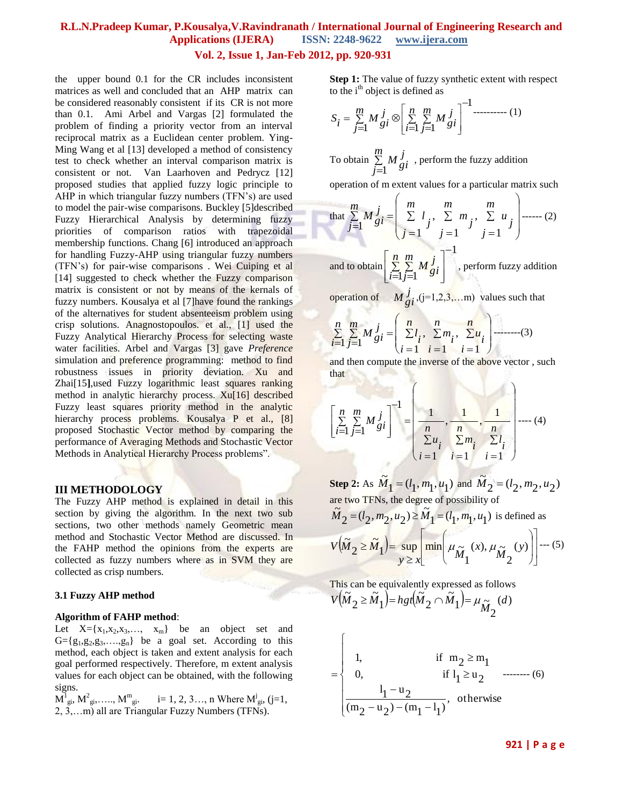#### **Vol. 2, Issue 1, Jan-Feb 2012, pp. 920-931**

the upper bound 0.1 for the CR includes inconsistent matrices as well and concluded that an AHP matrix can be considered reasonably consistent if its CR is not more than 0.1. Ami Arbel and Vargas [2] formulated the problem of finding a priority vector from an interval reciprocal matrix as a Euclidean center problem. Ying-Ming Wang et al [13] developed a method of consistency test to check whether an interval comparison matrix is consistent or not. Van Laarhoven and Pedrycz [12] proposed studies that applied fuzzy logic principle to AHP in which triangular fuzzy numbers (TFN's) are used to model the pair-wise comparisons. Buckley [5]described Fuzzy Hierarchical Analysis by determining fuzzy priorities of comparison ratios with trapezoidal membership functions. Chang [6] introduced an approach for handling Fuzzy-AHP using triangular fuzzy numbers (TFN's) for pair-wise comparisons . Wei Cuiping et al [14] suggested to check whether the Fuzzy comparison matrix is consistent or not by means of the kernals of fuzzy numbers. Kousalya et al [7]have found the rankings of the alternatives for student absenteeism problem using crisp solutions. Anagnostopoulos. et al., [1] used the Fuzzy Analytical Hierarchy Process for selecting waste water facilities. Arbel and Vargas [3] gave *Preference* simulation and preference programming: method to find robustness issues in priority deviation. Xu and Zhai[15**]**,used Fuzzy logarithmic least squares ranking method in analytic hierarchy process. Xu[16] described Fuzzy least squares priority method in the analytic hierarchy process problems. Kousalya P et al., [8] proposed Stochastic Vector method by comparing the performance of Averaging Methods and Stochastic Vector Methods in Analytical Hierarchy Process problems".

#### **III METHODOLOGY**

The Fuzzy AHP method is explained in detail in this section by giving the algorithm. In the next two sub sections, two other methods namely Geometric mean method and Stochastic Vector Method are discussed. In the FAHP method the opinions from the experts are collected as fuzzy numbers where as in SVM they are collected as crisp numbers.

#### **3.1 Fuzzy AHP method**

#### **Algorithm of FAHP method**:

Let  $X = \{x_1, x_2, x_3, \ldots, x_m\}$  be an object set and  $G = \{g_1, g_2, g_3, \ldots, g_n\}$  be a goal set. According to this method, each object is taken and extent analysis for each goal performed respectively. Therefore, m extent analysis values for each object can be obtained, with the following signs.

 $\overline{M}_{gi}^1, \overline{M}_{gi}^2, \ldots, \overline{M}_{gi}^m$ ,  $i=1, 2, 3, \ldots, n$  Where  $\overline{M}_{gi}^j$ ,  $(j=1, 2, 3, \ldots, n)$ 2, 3,…m) all are Triangular Fuzzy Numbers (TFNs).

**Step 1:** The value of fuzzy synthetic extent with respect to the  $i<sup>th</sup>$  object is defined as

$$
S_{i} = \sum_{j=1}^{m} M \int_{gi} \otimes \left[ \sum_{i=1}^{n} \sum_{j=1}^{m} M \int_{gi} \right]^{-1} \dots \dots \dots \dots (1)
$$

To obtain  $\Sigma$  $\equiv$ *m j*  $\int_1^j M_g^j$ , perform the fuzzy addition

operation of m extent values for a particular matrix such

that 
$$
\sum_{j=1}^{m} M_{gi}^{j} = \left( \sum_{j=1}^{m} l_j, \sum_{j=1}^{m} m_j, \sum_{j=1}^{m} u_j \right)
$$
........(2)

and to obtain 1  $-1 j=1$ ÷  $\overline{\phantom{a}}$  $\overline{\phantom{a}}$ 」  $\overline{\phantom{a}}$ L  $\mathbf{r}$ L  $\overline{\phantom{a}}$ Σ  $\equiv$ Σ  $\equiv$ *n i m j*  $\left| \frac{d}{dt} \right|$ , perform fuzzy addition

operation of  $M_{gi}^{j}$ ,  $(j=1,2,3,...,m)$  values such that

$$
\sum_{i=1}^{n} \sum_{j=1}^{m} M_{gi}^{j} = \left( \sum_{i=1}^{n} l_i, \sum_{i=1}^{n} m_i, \sum_{i=1}^{n} u_i \right) \dots (3)
$$

and then compute the inverse of the above vector , such that

$$
\left[\sum_{i=1}^{n} \sum_{j=1}^{m} M_{gi}^{j}\right]^{-1} = \left(\frac{1}{\sum_{i=1}^{n} \sum_{i=1}^{n} m_{i}}, \frac{1}{\sum_{i=1}^{n} \sum_{i=1}^{n} l_{i}}\right) \cdots (4)
$$

**Step 2:** As  $M_1 = (l_1, m_1, u_1)$  $\widetilde{M}_1 = (l_1, m_1, u_1)$  and  $\widetilde{M}_2 = (l_2, m_2, u_2)$  $\widetilde{M}_2 = (l_2, m_2, u)$ are two TFNs, the degree of possibility of  $\mathbf{1} = (l_1, m_1, u_1)$  $_{2} = (l_2, m_2, u_2) \geq \tilde{M}$  $\tilde{M}_2 = (l_2, m_2, u_2) \ge \tilde{M}_1 = (l_1, m_1, u_1)$  is defined as  $(M_2 \ge M_1)$  = sup  $\min_{M_1} \mu_{\tilde{M}_1}(x), \mu_{\tilde{M}_2}(y)$  $\overline{\phantom{a}}$ J  $\overline{\phantom{a}}$  $\overline{a}$ I L I  $\overline{\phantom{a}}$  $\overline{\phantom{a}}$ J  $\backslash$ ľ ľ l ſ  $\geq$  $\geq M_1$  = sup  $\lim_{x \to \infty}$   $\mu_{\infty}$   $(x), \mu_{\infty}$   $(y)$ 2  $(x)$ ,  $\mu_{\widetilde{M}}$ 1  $\left(\widetilde{\mu}_1\right) = \sup \left|\min \left|\mu_{\widetilde{M}}\right|\right|$ 2  $\widetilde{M}_2 \ge \widetilde{M}_1$  = sup  $\lim_{x \to 0}$   $\mu_{\infty}(x), \mu_{\infty}(y)$ *M x*  $y \geq x$  $V(\tilde{M}_2 \geq \tilde{M}_1)$  = sup min  $\mu_{\tilde{M}}(x), \mu_{\tilde{M}}(y)$  --- (5)

This can be equivalently expressed as follows  $(M_2 \geq M_1) = hgt(M_2 \cap M_1) = \mu \sim (d)$ 2  $(\tilde{M}_1) = \mu_{\tilde{M}}$ 2  $\tilde{\tilde{ } }$ 1 ~<br>~ 2  $V(\tilde{M}_2 \geq \tilde{M}_1) = hgh(\tilde{M}_2 \cap \tilde{M}_1) = \mu_{\tilde{M}_2}(d)$ 

 $\overline{1}$ 

$$
= \begin{cases} 1, & \text{if } m_2 \ge m_1 \\ 0, & \text{if } l_1 \ge u_2 \\ \frac{l_1 - u_2}{(m_2 - u_2) - (m_1 - l_1)}, & \text{otherwise} \end{cases}
$$
(6)

**921 | P a g e**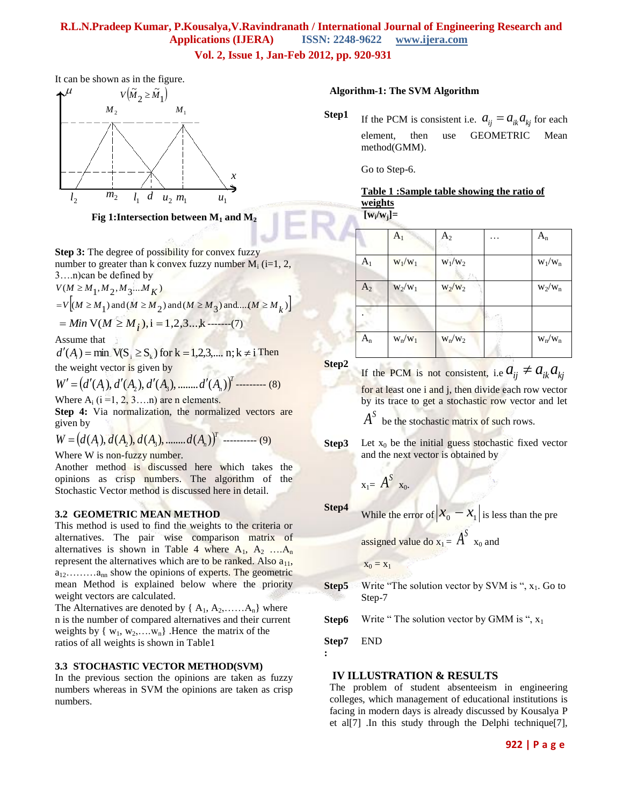**Vol. 2, Issue 1, Jan-Feb 2012, pp. 920-931**

It can be shown as in the figure.



**Fig 1:Intersection between M<sup>1</sup> and M<sup>2</sup>**

**Step 3:** The degree of possibility for convex fuzzy number to greater than k convex fuzzy number  $M_i$  (i=1, 2, 3….n)can be defined by

 $V(M \ge M_1, M_2, M_3...M_K)$ 

$$
=V[(M \ge M_1) \text{ and } (M \ge M_2) \text{ and } (M \ge M_3) \text{ and } ... (M \ge M_k)]
$$

$$
= Min V(M \ge M_{i}), i = 1, 2, 3, \dots, k
$$
-----(7)

Assume that

 $d'(A_i) = \min_{k} \mathbf{V}(S_i \geq S_k)$  for  $k = 1,2,3,..., n; k \neq i$  Then the weight vector is given by

 $W' = (d'(A_1), d'(A_2), d'(A_3), \dots, d'(A_n))$ <sup>T</sup>--------- (8) Where  $A_i$  ( $i = 1, 2, 3, \ldots n$ ) are n elements.

**Step 4:** Via normalization, the normalized vectors are given by

$$
W = (d(A_1), d(A_2), d(A_3), \dots, d(A_n))^{T}
$$
 (9)

Where W is non-fuzzy number.

Another method is discussed here which takes the opinions as crisp numbers. The algorithm of the Stochastic Vector method is discussed here in detail.

#### **3.2 GEOMETRIC MEAN METHOD**

This method is used to find the weights to the criteria or alternatives. The pair wise comparison matrix of alternatives is shown in Table 4 where  $A_1, A_2, \ldots, A_n$ represent the alternatives which are to be ranked. Also  $a_{11}$ ,  $a_{12}$ ......... $a_{nn}$  show the opinions of experts. The geometric mean Method is explained below where the priority weight vectors are calculated.

The Alternatives are denoted by  $\{A_1, A_2, \ldots, A_n\}$  where n is the number of compared alternatives and their current weights by  $\{w_1, w_2, \ldots, w_n\}$ . Hence the matrix of the ratios of all weights is shown in Table1

#### **3.3 STOCHASTIC VECTOR METHOD(SVM)**

In the previous section the opinions are taken as fuzzy numbers whereas in SVM the opinions are taken as crisp numbers.

#### **Algorithm-1: The SVM Algorithm**

**Step1** If the PCM is consistent i.e.  $a_{ij} = a_{ik} a_{kj}$  for each element, then use GEOMETRIC Mean method(GMM).

Go to Step-6.

# **Table 1 :Sample table showing the ratio of weights**

**[w<sup>i</sup> /wj]=**

|                | $A_1$     | $A_2$     | $A_{n}$   |
|----------------|-----------|-----------|-----------|
| A <sub>1</sub> | $W_1/W_1$ | $W_1/W_2$ | $W_1/W_n$ |
| A <sub>2</sub> | $W_2/W_1$ | $W_2/W_2$ | $W_2/W_n$ |
|                |           |           |           |
| $A_n$          | $w_n/w_1$ | $w_n/w_2$ | $w_n/w_n$ |

**Step2**

If the PCM is not consistent, i.e  $a_{ij} \neq a_{ik} a_{kj}$ 

for at least one i and j, then divide each row vector by its trace to get a stochastic row vector and let

 $A^S$  be the stochastic matrix of such rows.

**Step3** Let  $x_0$  be the initial guess stochastic fixed vector and the next vector is obtained by

$$
\mathbf{x}_{1} = \boldsymbol{A}^{\mathcal{S}} \mathbf{x}_{0}.
$$

**Step4** While the error of  $|x_0 - x_1|$  is less than the pre

assigned value do  $x_1 = A^S$   $x_0$  and

$$
\mathbf{x}_0 = \mathbf{x}_1
$$

**Step5** Write "The solution vector by SVM is ", x<sub>1</sub>. Go to Step-7

**Step6** Write " The solution vector by GMM is ",  $x_1$ 

**Step7** END

**:**

#### **IV ILLUSTRATION & RESULTS**

The problem of student absenteeism in engineering colleges, which management of educational institutions is facing in modern days is already discussed by Kousalya P et al[7] .In this study through the Delphi technique[7],

### **922 | P a g e**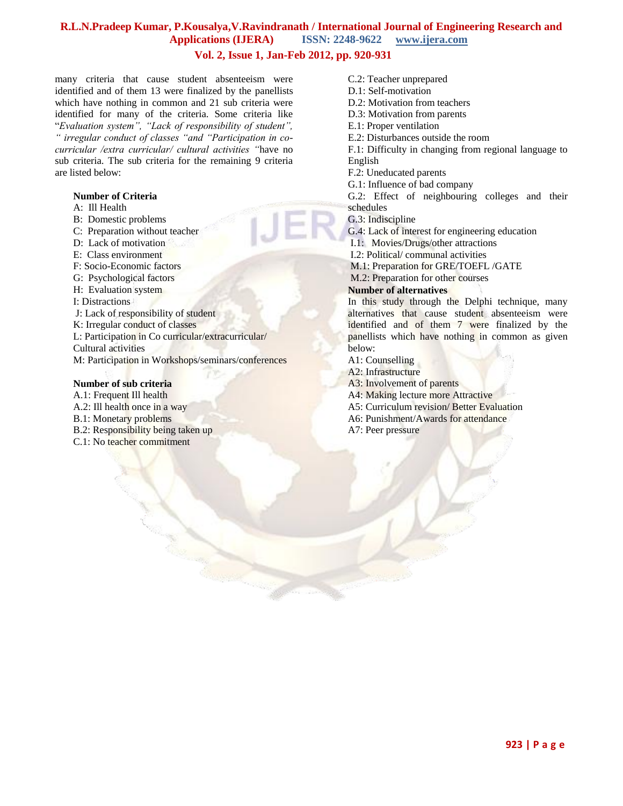### **Vol. 2, Issue 1, Jan-Feb 2012, pp. 920-931**

many criteria that cause student absenteeism were identified and of them 13 were finalized by the panellists which have nothing in common and 21 sub criteria were identified for many of the criteria. Some criteria like "*Evaluation system", "Lack of responsibility of student", " irregular conduct of classes "and "Participation in cocurricular /extra curricular/ cultural activities "*have no sub criteria. The sub criteria for the remaining 9 criteria are listed below:

#### **Number of Criteria**

- A: Ill Health
- B: Domestic problems
- C: Preparation without teacher
- D: Lack of motivation
- E: Class environment
- F: Socio-Economic factors
- G: Psychological factors
- H: Evaluation system
- I: Distractions
- J: Lack of responsibility of student
- K: Irregular conduct of classes
- L: Participation in Co curricular/extracurricular/

Cultural activities

M: Participation in Workshops/seminars/conferences

#### **Number of sub criteria**

A.1: Frequent Ill health A.2: Ill health once in a way B.1: Monetary problems B.2: Responsibility being taken up C.1: No teacher commitment

C.2: Teacher unprepared D.1: Self-motivation D.2: Motivation from teachers D.3: Motivation from parents E.1: Proper ventilation E.2: Disturbances outside the room F.1: Difficulty in changing from regional language to English F.2: Uneducated parents G.1: Influence of bad company G.2: Effect of neighbouring colleges and their schedules G.3: Indiscipline G.4: Lack of interest for engineering education I.1: Movies/Drugs/other attractions I.2: Political/ communal activities M.1: Preparation for GRE/TOEFL /GATE M.2: Preparation for other courses **Number of alternatives** In this study through the Delphi technique, many alternatives that cause student absenteeism were

identified and of them 7 were finalized by the panellists which have nothing in common as given below:

- A1: Counselling
- A2: Infrastructure
- A3: Involvement of parents
- A4: Making lecture more Attractive
- A5: Curriculum revision/ Better Evaluation
- A6: Punishment/Awards for attendance
- A7: Peer pressure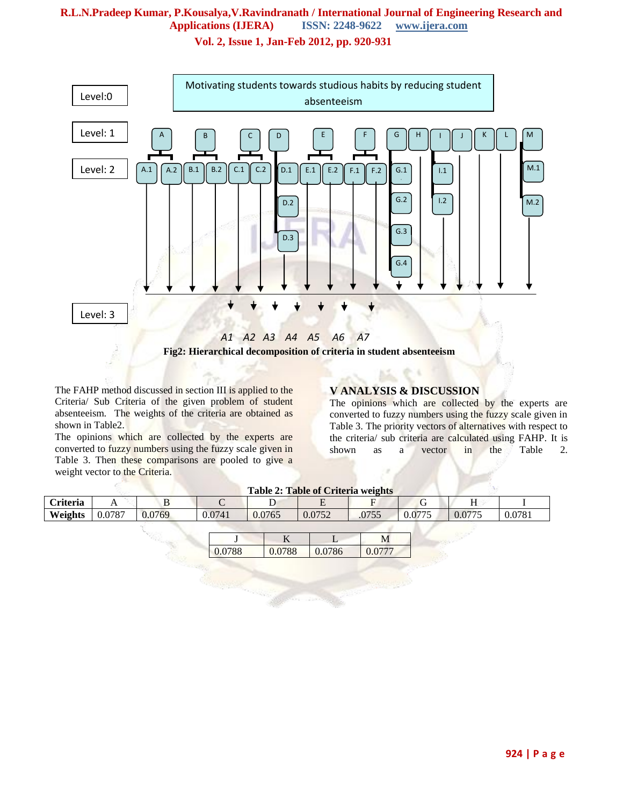**Vol. 2, Issue 1, Jan-Feb 2012, pp. 920-931**



The FAHP method discussed in section III is applied to the Criteria/ Sub Criteria of the given problem of student absenteeism. The weights of the criteria are obtained as shown in Table2.

The opinions which are collected by the experts are converted to fuzzy numbers using the fuzzy scale given in Table 3. Then these comparisons are pooled to give a weight vector to the Criteria.

### **V ANALYSIS & DISCUSSION**

The opinions which are collected by the experts are converted to fuzzy numbers using the fuzzy scale given in Table 3. The priority vectors of alternatives with respect to the criteria/ sub criteria are calculated using FAHP. It is shown as a vector in the Table 2.

| <b>Table 2: Table of Criteria weights</b> |        |        |        |        |        |       |        |        |        |
|-------------------------------------------|--------|--------|--------|--------|--------|-------|--------|--------|--------|
| <b>Criteria</b>                           |        | ມ      |        |        |        |       |        |        |        |
| Weights                                   | 0.0787 | 0.0769 | 0.0741 | 0.0765 | 0.0752 | .0755 | 0.0775 | 0.0775 | 0.0781 |

| oο | QQ | 86 |  |
|----|----|----|--|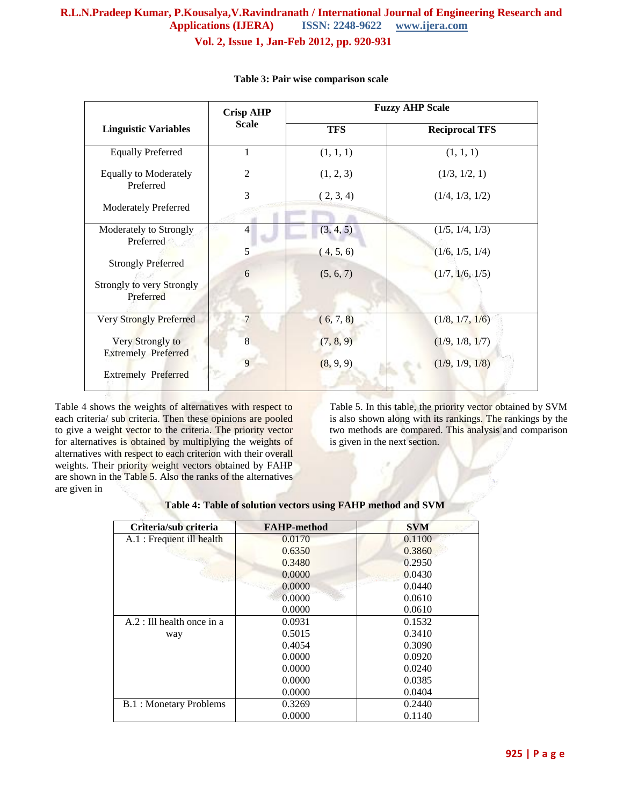# **R.L.N.Pradeep Kumar, P.Kousalya,V.Ravindranath / International Journal of Engineering Research and Applications (IJERA) ISSN: 2248-9622 www.ijera.com Vol. 2, Issue 1, Jan-Feb 2012, pp. 920-931**

|                                                                     | <b>Crisp AHP</b> | <b>Fuzzy AHP Scale</b> |                       |  |
|---------------------------------------------------------------------|------------------|------------------------|-----------------------|--|
| <b>Linguistic Variables</b>                                         | <b>Scale</b>     | <b>TFS</b>             | <b>Reciprocal TFS</b> |  |
| <b>Equally Preferred</b>                                            | 1                | (1, 1, 1)              | (1, 1, 1)             |  |
| <b>Equally to Moderately</b><br>Preferred                           | $\overline{2}$   | (1, 2, 3)              | (1/3, 1/2, 1)         |  |
|                                                                     | 3                | (2, 3, 4)              | (1/4, 1/3, 1/2)       |  |
| <b>Moderately Preferred</b>                                         |                  |                        |                       |  |
| Moderately to Strongly<br>Preferred                                 | $\overline{4}$   | (3, 4, 5)              | (1/5, 1/4, 1/3)       |  |
|                                                                     | 5                | (4, 5, 6)              | (1/6, 1/5, 1/4)       |  |
| <b>Strongly Preferred</b><br>Strongly to very Strongly<br>Preferred | 6                | (5, 6, 7)              | (1/7, 1/6, 1/5)       |  |
| Very Strongly Preferred                                             | $\overline{7}$   | (6, 7, 8)              | (1/8, 1/7, 1/6)       |  |
| Very Strongly to<br><b>Extremely Preferred</b>                      | 8                | (7, 8, 9)              | (1/9, 1/8, 1/7)       |  |
| <b>Extremely Preferred</b>                                          | 9                | (8, 9, 9)              | (1/9, 1/9, 1/8)       |  |

#### **Table 3: Pair wise comparison scale**

Table 4 shows the weights of alternatives with respect to each criteria/ sub criteria. Then these opinions are pooled to give a weight vector to the criteria. The priority vector for alternatives is obtained by multiplying the weights of alternatives with respect to each criterion with their overall weights. Their priority weight vectors obtained by FAHP are shown in the Table 5. Also the ranks of the alternatives are given in

Table 5. In this table, the priority vector obtained by SVM is also shown along with its rankings. The rankings by the two methods are compared. This analysis and comparison is given in the next section.

|  | Table 4: Table of solution vectors using FAHP method and SVM |
|--|--------------------------------------------------------------|
|--|--------------------------------------------------------------|

| Criteria/sub criteria         | <b>FAHP-method</b> | <b>SVM</b> |
|-------------------------------|--------------------|------------|
| A.1 : Frequent ill health     | 0.0170             | 0.1100     |
|                               | 0.6350             | 0.3860     |
|                               | 0.3480             | 0.2950     |
|                               | 0.0000             | 0.0430     |
|                               | 0.0000             | 0.0440     |
|                               | 0.0000             | 0.0610     |
|                               | 0.0000             | 0.0610     |
| $A.2$ : Ill health once in a  | 0.0931             | 0.1532     |
| way                           | 0.5015             | 0.3410     |
|                               | 0.4054             | 0.3090     |
|                               | 0.0000             | 0.0920     |
|                               | 0.0000             | 0.0240     |
|                               | 0.0000             | 0.0385     |
|                               | 0.0000             | 0.0404     |
| <b>B.1: Monetary Problems</b> | 0.3269             | 0.2440     |
|                               | 0.0000             | 0.1140     |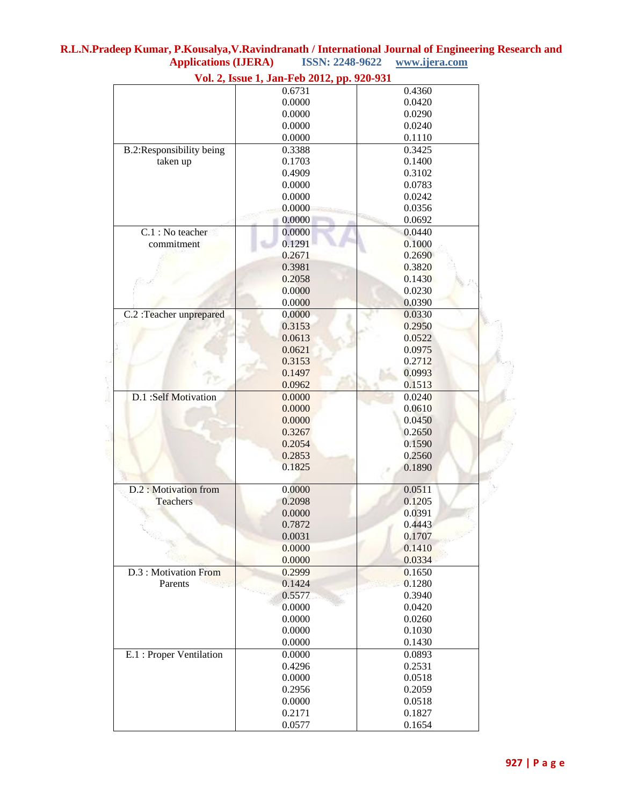|                          | Vol. 2, Issue 1, Jan-Feb 2012, pp. 920-931 |        |  |
|--------------------------|--------------------------------------------|--------|--|
|                          | 0.6731                                     | 0.4360 |  |
|                          | 0.0000                                     | 0.0420 |  |
|                          | 0.0000                                     | 0.0290 |  |
|                          | 0.0000                                     | 0.0240 |  |
|                          | 0.0000                                     | 0.1110 |  |
| B.2:Responsibility being | 0.3388                                     | 0.3425 |  |
| taken up                 | 0.1703                                     | 0.1400 |  |
|                          | 0.4909                                     | 0.3102 |  |
|                          | 0.0000                                     | 0.0783 |  |
|                          | 0.0000                                     | 0.0242 |  |
|                          | 0.0000                                     | 0.0356 |  |
|                          | 0.0000                                     | 0.0692 |  |
| C.1 : No teacher         | 0.0000                                     | 0.0440 |  |
| commitment               | 0.1291                                     | 0.1000 |  |
|                          | 0.2671                                     | 0.2690 |  |
|                          | 0.3981                                     | 0.3820 |  |
|                          | 0.2058                                     | 0.1430 |  |
|                          | 0.0000                                     | 0.0230 |  |
|                          | 0.0000                                     | 0.0390 |  |
| C.2 : Teacher unprepared | 0.0000                                     | 0.0330 |  |
|                          | 0.3153                                     | 0.2950 |  |
|                          | 0.0613                                     | 0.0522 |  |
|                          | 0.0621                                     | 0.0975 |  |
|                          | 0.3153                                     | 0.2712 |  |
|                          | 0.1497                                     | 0.0993 |  |
|                          | 0.0962                                     | 0.1513 |  |
| D.1 :Self Motivation     | 0.0000                                     | 0.0240 |  |
|                          | 0.0000                                     | 0.0610 |  |
|                          | 0.0000                                     | 0.0450 |  |
|                          | 0.3267                                     | 0.2650 |  |
|                          | 0.2054                                     | 0.1590 |  |
|                          | 0.2853                                     | 0.2560 |  |
|                          | 0.1825                                     | 0.1890 |  |
|                          |                                            |        |  |
| D.2 : Motivation from    | 0.0000                                     | 0.0511 |  |
| <b>Teachers</b>          | 0.2098                                     | 0.1205 |  |
|                          | 0.0000                                     | 0.0391 |  |
|                          | 0.7872                                     | 0.4443 |  |
|                          | 0.0031                                     | 0.1707 |  |
|                          | 0.0000                                     | 0.1410 |  |
|                          | 0.0000                                     | 0.0334 |  |
| D.3 : Motivation From    | 0.2999                                     | 0.1650 |  |
| Parents                  | 0.1424                                     | 0.1280 |  |
|                          | 0.5577                                     | 0.3940 |  |
|                          | 0.0000                                     | 0.0420 |  |
|                          | 0.0000                                     | 0.0260 |  |
|                          | 0.0000                                     | 0.1030 |  |
|                          | 0.0000                                     | 0.1430 |  |
| E.1 : Proper Ventilation | 0.0000                                     | 0.0893 |  |
|                          | 0.4296                                     | 0.2531 |  |
|                          | 0.0000                                     | 0.0518 |  |
|                          | 0.2956                                     | 0.2059 |  |
|                          | 0.0000                                     | 0.0518 |  |
|                          | 0.2171                                     | 0.1827 |  |
|                          |                                            |        |  |
|                          | 0.0577                                     | 0.1654 |  |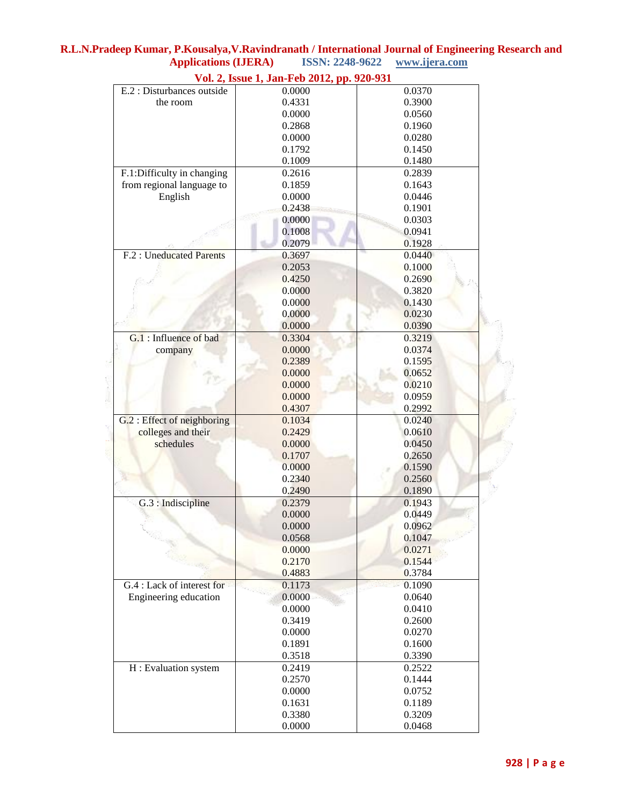|                             | $\frac{1}{2}$ on $\frac{1}{2}$ assuce 1, but I co $\frac{1}{2}$ |        |
|-----------------------------|-----------------------------------------------------------------|--------|
| E.2 : Disturbances outside  | 0.0000                                                          | 0.0370 |
| the room                    | 0.4331                                                          | 0.3900 |
|                             | 0.0000                                                          | 0.0560 |
|                             | 0.2868                                                          | 0.1960 |
|                             | 0.0000                                                          | 0.0280 |
|                             | 0.1792                                                          | 0.1450 |
|                             | 0.1009                                                          | 0.1480 |
| F.1:Difficulty in changing  | 0.2616                                                          | 0.2839 |
| from regional language to   | 0.1859                                                          | 0.1643 |
| English                     | 0.0000                                                          | 0.0446 |
|                             | 0.2438                                                          | 0.1901 |
|                             | 0.0000                                                          | 0.0303 |
|                             | 0.1008                                                          | 0.0941 |
|                             | 0.2079                                                          | 0.1928 |
| F.2 : Uneducated Parents    | 0.3697                                                          | 0.0440 |
|                             | 0.2053                                                          | 0.1000 |
|                             | 0.4250                                                          | 0.2690 |
|                             | 0.0000                                                          | 0.3820 |
|                             | 0.0000                                                          | 0.1430 |
|                             | 0.0000                                                          | 0.0230 |
|                             | 0.0000                                                          | 0.0390 |
| G.1 : Influence of bad      | 0.3304                                                          | 0.3219 |
| company                     | 0.0000                                                          | 0.0374 |
|                             | 0.2389                                                          | 0.1595 |
|                             | 0.0000                                                          | 0.0652 |
|                             | 0.0000                                                          | 0.0210 |
|                             |                                                                 | 0.0959 |
|                             | 0.0000                                                          |        |
|                             | 0.4307                                                          | 0.2992 |
| G.2 : Effect of neighboring | 0.1034                                                          | 0.0240 |
| colleges and their          | 0.2429                                                          | 0.0610 |
| schedules                   | 0.0000                                                          | 0.0450 |
|                             | 0.1707                                                          | 0.2650 |
|                             | 0.0000                                                          | 0.1590 |
|                             | 0.2340                                                          | 0.2560 |
|                             | 0.2490                                                          | 0.1890 |
| G.3 : Indiscipline          | 0.2379                                                          | 0.1943 |
|                             | 0.0000                                                          | 0.0449 |
|                             | 0.0000                                                          | 0.0962 |
|                             | 0.0568                                                          | 0.1047 |
|                             | 0.0000                                                          | 0.0271 |
|                             | 0.2170                                                          | 0.1544 |
|                             | 0.4883                                                          | 0.3784 |
| G.4 : Lack of interest for  | 0.1173                                                          | 0.1090 |
| Engineering education       | 0.0000                                                          | 0.0640 |
|                             | 0.0000                                                          | 0.0410 |
|                             | 0.3419                                                          | 0.2600 |
|                             | 0.0000                                                          | 0.0270 |
|                             | 0.1891                                                          | 0.1600 |
|                             | 0.3518                                                          | 0.3390 |
| H: Evaluation system        | 0.2419                                                          | 0.2522 |
|                             | 0.2570                                                          | 0.1444 |
|                             | 0.0000                                                          | 0.0752 |
|                             | 0.1631                                                          | 0.1189 |
|                             | 0.3380                                                          | 0.3209 |
|                             | 0.0000                                                          | 0.0468 |
|                             |                                                                 |        |

**Vol. 2, Issue 1, Jan-Feb 2012, pp. 920-931**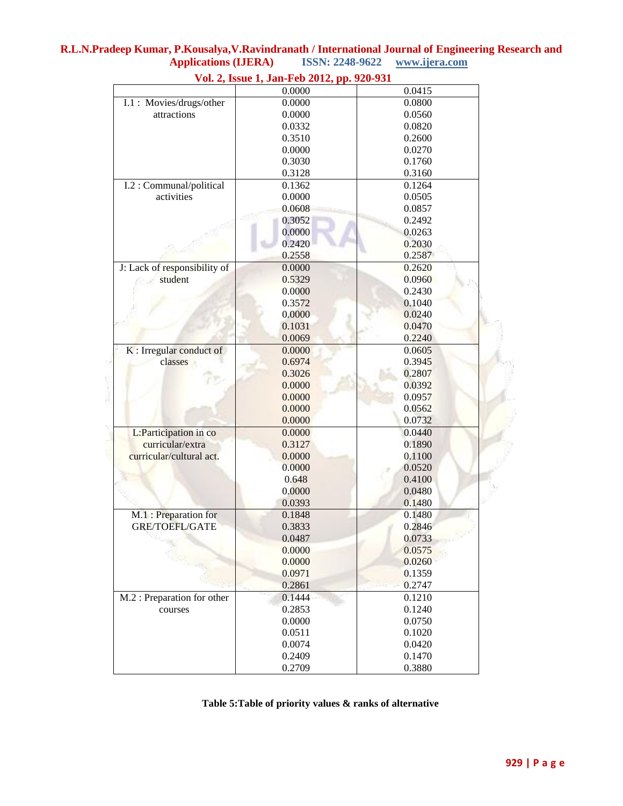|                              | vol. 2, issue 1, Jan-Ped 2012, pp. 920-931 |        |
|------------------------------|--------------------------------------------|--------|
|                              | 0.0000                                     | 0.0415 |
| I.1: Movies/drugs/other      | 0.0000                                     | 0.0800 |
| attractions                  | 0.0000                                     | 0.0560 |
|                              | 0.0332                                     | 0.0820 |
|                              | 0.3510                                     | 0.2600 |
|                              | 0.0000                                     | 0.0270 |
|                              | 0.3030                                     | 0.1760 |
|                              | 0.3128                                     | 0.3160 |
| I.2 : Communal/political     | 0.1362                                     | 0.1264 |
| activities                   | 0.0000                                     | 0.0505 |
|                              | 0.0608                                     | 0.0857 |
|                              | 0.3052                                     | 0.2492 |
|                              | 0.0000                                     | 0.0263 |
|                              | 0.2420                                     | 0.2030 |
|                              | 0.2558                                     | 0.2587 |
| J: Lack of responsibility of | 0.0000                                     | 0.2620 |
| student                      | 0.5329                                     | 0.0960 |
|                              | 0.0000                                     | 0.2430 |
|                              | 0.3572                                     | 0.1040 |
|                              | 0.0000                                     | 0.0240 |
|                              | 0.1031                                     | 0.0470 |
|                              | 0.0069                                     | 0.2240 |
| K : Irregular conduct of     | 0.0000                                     | 0.0605 |
| classes                      | 0.6974                                     | 0.3945 |
|                              | 0.3026                                     | 0.2807 |
|                              | 0.0000                                     | 0.0392 |
|                              | 0.0000                                     | 0.0957 |
|                              | 0.0000                                     | 0.0562 |
|                              | 0.0000                                     | 0.0732 |
| L:Participation in co        | 0.0000                                     | 0.0440 |
| curricular/extra             | 0.3127                                     | 0.1890 |
| curricular/cultural act.     | 0.0000                                     | 0.1100 |
|                              | 0.0000                                     | 0.0520 |
|                              | 0.648                                      | 0.4100 |
|                              | 0.0000                                     | 0.0480 |
|                              | 0.0393                                     | 0.1480 |
| M.1: Preparation for         | 0.1848                                     | 0.1480 |
| <b>GRE/TOEFL/GATE</b>        | 0.3833                                     | 0.2846 |
|                              | 0.0487                                     | 0.0733 |
|                              | 0.0000                                     | 0.0575 |
|                              | 0.0000                                     | 0.0260 |
|                              | 0.0971                                     |        |
|                              |                                            | 0.1359 |
|                              | 0.2861                                     | 0.2747 |
| M.2 : Preparation for other  | 0.1444                                     | 0.1210 |
| courses                      | 0.2853                                     | 0.1240 |
|                              | 0.0000                                     | 0.0750 |
|                              | 0.0511                                     | 0.1020 |
|                              | 0.0074                                     | 0.0420 |
|                              | 0.2409                                     | 0.1470 |
|                              | 0.2709                                     | 0.3880 |

### **R.L.N.Pradeep Kumar, P.Kousalya,V.Ravindranath / International Journal of Engineering Research and Applications (IJERA) ISSN: 2248-9622 www.ijera.com Vol. 2, Issue 1, Jan-Feb 2012, pp. 920-931**

**Table 5:Table of priority values & ranks of alternative**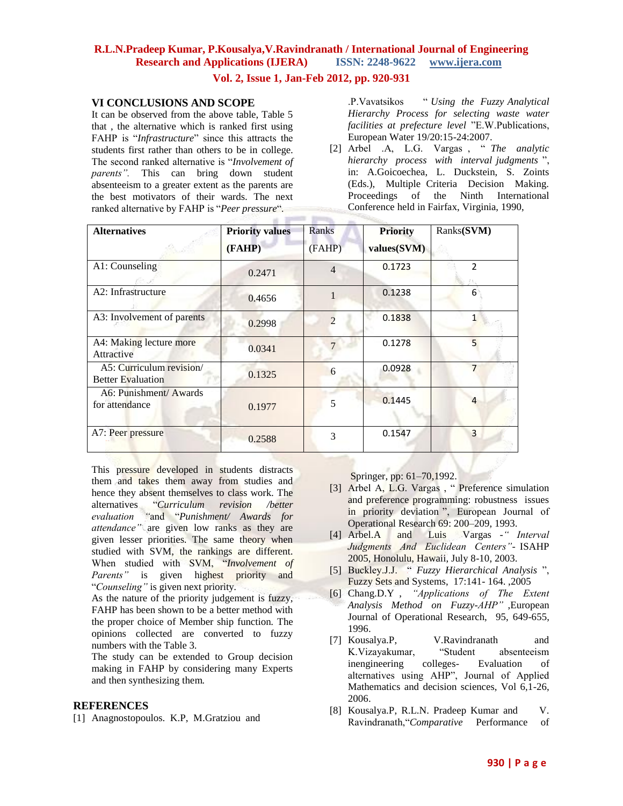**Vol. 2, Issue 1, Jan-Feb 2012, pp. 920-931**

### **VI CONCLUSIONS AND SCOPE**

It can be observed from the above table, Table 5 that , the alternative which is ranked first using FAHP is "*Infrastructure*" since this attracts the students first rather than others to be in college. The second ranked alternative is "*Involvement of parents".* This can bring down student absenteeism to a greater extent as the parents are the best motivators of their wards. The next ranked alternative by FAHP is "*Peer pressure*".

.P.Vavatsikos " *Using the Fuzzy Analytical Hierarchy Process for selecting waste water facilities at prefecture level* "E.W.Publications, European Water 19/20:15-24:2007.

[2] Arbel .A, L.G. Vargas , " *The analytic hierarchy process with interval judgments* ", in: A.Goicoechea, L. Duckstein, S. Zoints (Eds.), Multiple Criteria Decision Making. Proceedings of the Ninth International Conference held in Fairfax, Virginia, 1990,

| <b>Alternatives</b>                                  | <b>Priority values</b> | Ranks          | <b>Priority</b> | Ranks(SVM)     |
|------------------------------------------------------|------------------------|----------------|-----------------|----------------|
|                                                      | (FAHP)                 | (FAHP)         | values(SVM)     |                |
| A1: Counseling                                       | 0.2471                 | $\overline{4}$ | 0.1723          | $\overline{2}$ |
| A2: Infrastructure                                   | 0.4656                 |                | 0.1238          | 6              |
| A3: Involvement of parents                           | 0.2998                 | $\mathcal{D}$  | 0.1838          |                |
| A4: Making lecture more<br>Attractive                | 0.0341                 |                | 0.1278          | 5              |
| A5: Curriculum revision/<br><b>Better Evaluation</b> | 0.1325                 | 6              | 0.0928          | 7              |
| A6: Punishment/Awards<br>for attendance              | 0.1977                 | 5              | 0.1445          | 4              |
| A7: Peer pressure                                    | 0.2588                 | 3              | 0.1547          | 3              |

This pressure developed in students distracts them and takes them away from studies and hence they absent themselves to class work. The alternatives "*Curriculum revision /better evaluation "*and "*Punishment/ Awards for attendance"* are given low ranks as they are given lesser priorities. The same theory when studied with SVM, the rankings are different. When studied with SVM, "*Involvement of*  Parents" is given highest priority and "*Counseling"* is given next priority.

As the nature of the priority judgement is fuzzy, FAHP has been shown to be a better method with the proper choice of Member ship function. The opinions collected are converted to fuzzy numbers with the Table 3.

The study can be extended to Group decision making in FAHP by considering many Experts and then synthesizing them*.*

### **REFERENCES**

[1] Anagnostopoulos. K.P, M.Gratziou and

Springer, pp: 61–70,1992.

- [3] Arbel A, L.G. Vargas, " Preference simulation and preference programming: robustness issues in priority deviation ", European Journal of Operational Research 69: 200–209, 1993.
- [4] Arbel.A and Luis Vargas *-" Interval Judgments And Euclidean Centers"-* ISAHP 2005, Honolulu, Hawaii, July 8-10, 2003.
- [5] Buckley.J.J. " *Fuzzy Hierarchical Analysis* ", Fuzzy Sets and Systems, 17:141- 164. ,2005
- [6] Chang.D.Y , *"Applications of The Extent Analysis Method on Fuzzy-AHP"* ,European Journal of Operational Research, 95, 649-655, 1996.
- [7] Kousalya.P, V.Ravindranath and K.Vizayakumar, "Student absenteeism inengineering colleges- Evaluation of alternatives using AHP", Journal of Applied Mathematics and decision sciences, Vol 6,1-26, 2006.
- [8] Kousalya.P, R.L.N. Pradeep Kumar and V. Ravindranath,"*Comparative* Performance of